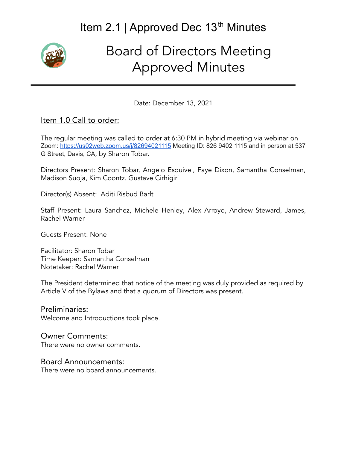# Item 2.1 | Approved Dec 13<sup>th</sup> Minutes



# Board of Directors Meeting Approved Minutes

Date: December 13, 2021

#### Item 1.0 Call to order:

The regular meeting was called to order at 6:30 PM in hybrid meeting via webinar on Zoom: <https://us02web.zoom.us/j/82694021115> Meeting ID: 826 9402 1115 and in person at 537 G Street, Davis, CA, by Sharon Tobar.

Directors Present: Sharon Tobar, Angelo Esquivel, Faye Dixon, Samantha Conselman, Madison Suoja, Kim Coontz. Gustave Cirhigiri

Director(s) Absent: Aditi Risbud Barlt

Staff Present: Laura Sanchez, Michele Henley, Alex Arroyo, Andrew Steward, James, Rachel Warner

Guests Present: None

Facilitator: Sharon Tobar Time Keeper: Samantha Conselman Notetaker: Rachel Warner

The President determined that notice of the meeting was duly provided as required by Article V of the Bylaws and that a quorum of Directors was present.

Preliminaries: Welcome and Introductions took place.

## Owner Comments:

There were no owner comments.

#### Board Announcements:

There were no board announcements.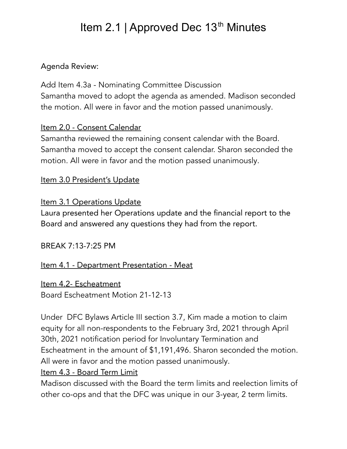# Item 2.1 | Approved Dec 13<sup>th</sup> Minutes

### Agenda Review:

Add Item 4.3a - Nominating Committee Discussion Samantha moved to adopt the agenda as amended. Madison seconded the motion. All were in favor and the motion passed unanimously.

### Item 2.0 - Consent Calendar

Samantha reviewed the remaining consent calendar with the Board. Samantha moved to accept the consent calendar. Sharon seconded the motion. All were in favor and the motion passed unanimously.

Item 3.0 President's Update

### Item 3.1 Operations Update

Laura presented her Operations update and the financial report to the Board and answered any questions they had from the report.

BREAK 7:13-7:25 PM

Item 4.1 - Department Presentation - Meat

Item 4.2- Escheatment Board Escheatment Motion 21-12-13

Under DFC Bylaws Article III section 3.7, Kim made a motion to claim equity for all non-respondents to the February 3rd, 2021 through April 30th, 2021 notification period for Involuntary Termination and Escheatment in the amount of \$1,191,496. Sharon seconded the motion. All were in favor and the motion passed unanimously.

#### Item 4.3 - Board Term Limit

Madison discussed with the Board the term limits and reelection limits of other co-ops and that the DFC was unique in our 3-year, 2 term limits.